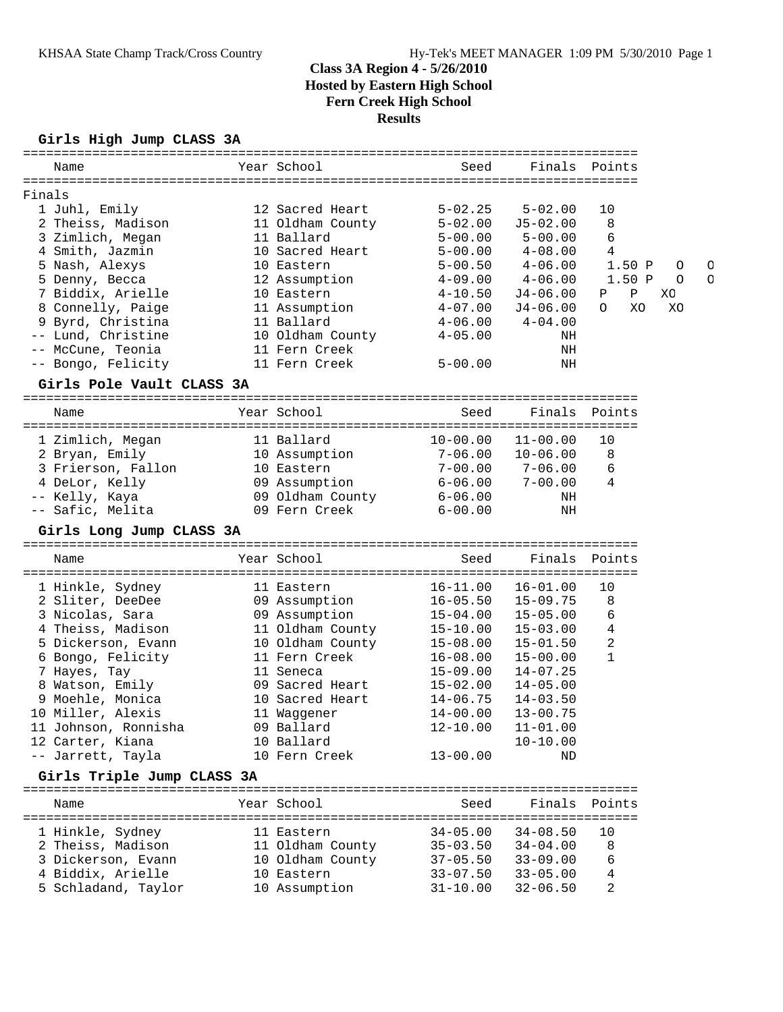### **Girls High Jump CLASS 3A**

| Name                                                  | Year School                               | Seed                         | Finals                       | Points            |              |   |
|-------------------------------------------------------|-------------------------------------------|------------------------------|------------------------------|-------------------|--------------|---|
|                                                       |                                           |                              |                              |                   |              |   |
| Finals<br>1 Juhl, Emily                               | 12 Sacred Heart                           | $5 - 02.25$                  | $5 - 02.00$                  | 10                |              |   |
| 2 Theiss, Madison                                     | 11 Oldham County                          | $5 - 02.00$                  | $J5 - 02.00$                 | 8                 |              |   |
| 3 Zimlich, Megan                                      | 11 Ballard                                | $5 - 00.00$                  | $5 - 00.00$                  | 6                 |              |   |
| 4 Smith, Jazmin                                       | 10 Sacred Heart                           | $5 - 00.00$                  | $4 - 08.00$                  | 4                 |              |   |
| 5 Nash, Alexys                                        | 10 Eastern                                | $5 - 00.50$                  | $4 - 06.00$                  | 1.50P             |              | C |
| 5 Denny, Becca                                        | 12 Assumption                             | $4 - 09.00$                  | $4 - 06.00$                  | 1.50P             | O<br>$\circ$ | C |
| 7 Biddix, Arielle                                     | 10 Eastern                                | $4 - 10.50$                  | $J4-06.00$                   | Ρ<br>Ρ            | XС           |   |
| 8 Connelly, Paige                                     | 11 Assumption                             | $4 - 07.00$                  | $J4 - 06.00$                 | XO<br>$\Omega$    | XC           |   |
| 9 Byrd, Christina                                     | 11 Ballard                                | $4 - 06.00$                  | $4 - 04.00$                  |                   |              |   |
| -- Lund, Christine                                    | 10 Oldham County                          | $4 - 05.00$                  | ΝH                           |                   |              |   |
| -- McCune, Teonia                                     | 11 Fern Creek                             |                              | NH                           |                   |              |   |
| -- Bongo, Felicity                                    | 11 Fern Creek                             | $5 - 00.00$                  | NH                           |                   |              |   |
|                                                       |                                           |                              |                              |                   |              |   |
| Girls Pole Vault CLASS 3A<br>======================== | ==================================        |                              |                              |                   |              |   |
| Name                                                  | Year School                               | Seed                         | Finals                       | Points            |              |   |
| 1 Zimlich, Megan                                      | 11 Ballard                                |                              | $10-00.00$ $11-00.00$        | 10                |              |   |
|                                                       |                                           | 7-06.00                      | $10 - 06.00$                 | 8                 |              |   |
| 2 Bryan, Emily<br>3 Frierson, Fallon                  | 10 Assumption<br>10 Eastern               | $7 - 00.00$                  | $7 - 06.00$                  | 6                 |              |   |
| 4 DeLor, Kelly                                        |                                           | $6 - 06.00$                  | $7 - 00.00$                  | 4                 |              |   |
| -- Kelly, Kaya                                        | 09 Assumption<br>09 Oldham County 6-06.00 |                              | ΝH                           |                   |              |   |
| -- Safic, Melita                                      | 09 Fern Creek                             | $6 - 00.00$                  | NH                           |                   |              |   |
|                                                       |                                           |                              |                              |                   |              |   |
|                                                       |                                           |                              |                              |                   |              |   |
| Girls Long Jump CLASS 3A                              |                                           |                              |                              |                   |              |   |
| Name                                                  | Year School                               | Seed                         | Finals                       | Points            |              |   |
|                                                       |                                           |                              |                              |                   |              |   |
| 1 Hinkle, Sydney                                      | 11 Eastern                                | $16 - 11.00$                 | $16 - 01.00$                 | 10                |              |   |
| 2 Sliter, DeeDee                                      | 09 Assumption                             | $16 - 05.50$                 | $15 - 09.75$                 | 8<br>6            |              |   |
| 3 Nicolas, Sara                                       | 09 Assumption                             | $15 - 04.00$                 | $15 - 05.00$                 | 4                 |              |   |
| 4 Theiss, Madison                                     | 11 Oldham County                          | 15-10.00                     | $15 - 03.00$                 |                   |              |   |
| 5 Dickerson, Evann                                    | 10 Oldham County                          | 15-08.00                     | $15 - 01.50$                 | 2<br>$\mathbf{1}$ |              |   |
| 6 Bongo, Felicity                                     | 11 Fern Creek<br>11 Seneca                | $16 - 08.00$                 | $15 - 00.00$<br>$14 - 07.25$ |                   |              |   |
| 7 Hayes, Tay                                          | 09 Sacred Heart                           | 15-09.00                     | $14 - 05.00$                 |                   |              |   |
| 8 Watson, Emily                                       | 10 Sacred Heart                           | $15 - 02.00$<br>$14 - 06.75$ | $14 - 03.50$                 |                   |              |   |
| 9 Moehle, Monica                                      |                                           | $14 - 00.00$                 | $13 - 00.75$                 |                   |              |   |
| 10 Miller, Alexis                                     | 11 Waggener                               | $12 - 10.00$                 |                              |                   |              |   |
| 11 Johnson, Ronnisha<br>12 Carter, Kiana              | 09 Ballard                                |                              | $11 - 01.00$                 |                   |              |   |
| -- Jarrett, Tayla                                     | 10 Ballard<br>10 Fern Creek               | $13 - 00.00$                 | $10 - 10.00$<br>ND           |                   |              |   |
| Girls Triple Jump CLASS 3A                            |                                           |                              |                              |                   |              |   |
| Name                                                  | Year School                               | Seed                         | Finals                       | Points            |              |   |
|                                                       |                                           |                              |                              |                   |              |   |
| 1 Hinkle, Sydney                                      | 11 Eastern                                | $34 - 05.00$                 | $34 - 08.50$                 | 10                |              |   |
| 2 Theiss, Madison                                     | 11 Oldham County                          | $35 - 03.50$                 | $34 - 04.00$                 | 8                 |              |   |
| 3 Dickerson, Evann                                    | 10 Oldham County                          | $37 - 05.50$                 | $33 - 09.00$                 | 6                 |              |   |
| 4 Biddix, Arielle<br>5 Schladand, Taylor              | 10 Eastern<br>10 Assumption               | $33 - 07.50$<br>$31 - 10.00$ | $33 - 05.00$<br>$32 - 06.50$ | 4<br>2            |              |   |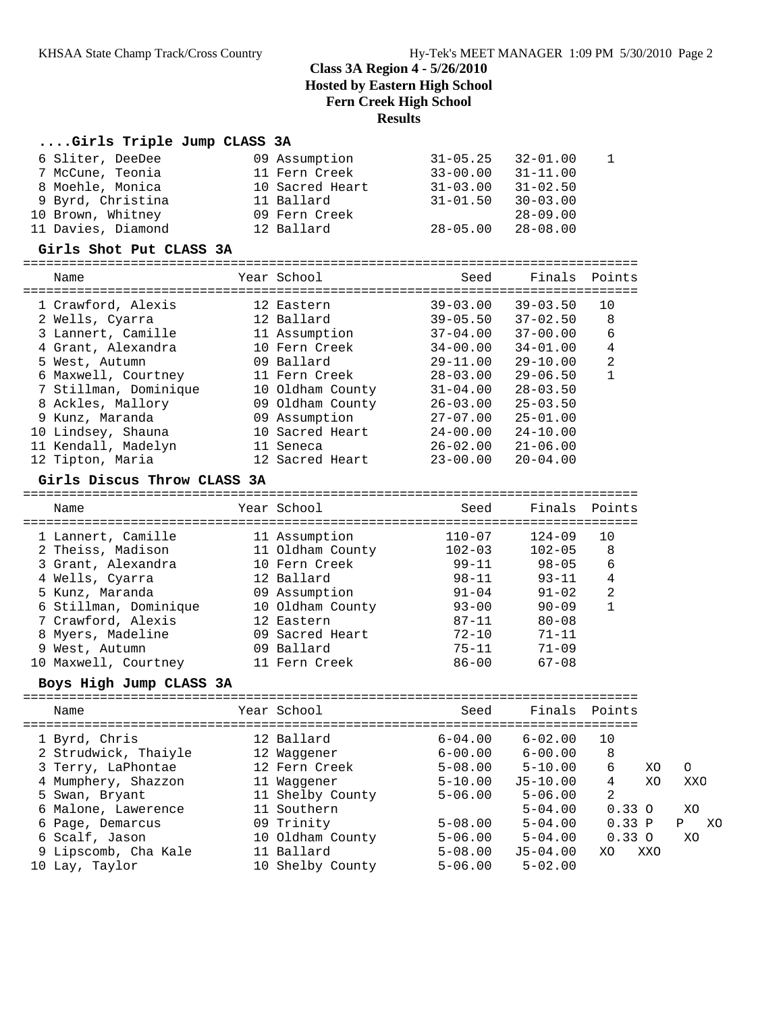#### **....Girls Triple Jump CLASS 3A**

| 7 McCune, Teonia<br>8 Moehle, Monica<br>9 Byrd, Christina<br>10 Brown, Whitney<br>11 Davies, Diamond | 09 Assumption<br>11 Fern Creek<br>10 Sacred Heart<br>11 Ballard<br>09 Fern Creek<br>12 Ballard | $31 - 05.25$<br>$33 - 00.00$<br>$31 - 03.00$<br>$31 - 01.50$<br>$28 - 05.00$ | $32 - 01.00$<br>$31 - 11.00$<br>$31 - 02.50$<br>$30 - 03.00$<br>$28 - 09.00$<br>$28 - 08.00$ | 1              |          |
|------------------------------------------------------------------------------------------------------|------------------------------------------------------------------------------------------------|------------------------------------------------------------------------------|----------------------------------------------------------------------------------------------|----------------|----------|
| Girls Shot Put CLASS 3A                                                                              |                                                                                                |                                                                              |                                                                                              |                |          |
| =============================<br>Name                                                                | Year School                                                                                    | Seed                                                                         | Finals                                                                                       | Points         |          |
| 1 Crawford, Alexis                                                                                   | 12 Eastern                                                                                     | $39 - 03.00$                                                                 | $39 - 03.50$                                                                                 | 10             |          |
| 2 Wells, Cyarra                                                                                      | 12 Ballard                                                                                     | $39 - 05.50$                                                                 | $37 - 02.50$                                                                                 | 8              |          |
| 3 Lannert, Camille                                                                                   | 11 Assumption                                                                                  | $37 - 04.00$                                                                 | $37 - 00.00$                                                                                 | 6              |          |
| 4 Grant, Alexandra                                                                                   | 10 Fern Creek                                                                                  | $34 - 00.00$                                                                 | 34-01.00                                                                                     | 4              |          |
| 5 West, Autumn                                                                                       | 09 Ballard                                                                                     | $29 - 11.00$                                                                 | $29 - 10.00$                                                                                 | 2              |          |
| 6 Maxwell, Courtney                                                                                  | 11 Fern Creek                                                                                  | $28 - 03.00$                                                                 | $29 - 06.50$                                                                                 | 1              |          |
| 7 Stillman, Dominique                                                                                | 10 Oldham County                                                                               | $31 - 04.00$                                                                 | $28 - 03.50$                                                                                 |                |          |
| 8 Ackles, Mallory                                                                                    | 09 Oldham County                                                                               | $26 - 03.00$                                                                 | $25 - 03.50$                                                                                 |                |          |
| 9 Kunz, Maranda                                                                                      | 09 Assumption                                                                                  | $27 - 07.00$                                                                 | $25 - 01.00$                                                                                 |                |          |
| 10 Lindsey, Shauna                                                                                   | 10 Sacred Heart                                                                                | $24 - 00.00$                                                                 | $24 - 10.00$                                                                                 |                |          |
| 11 Kendall, Madelyn                                                                                  | 11 Seneca                                                                                      | $26 - 02.00$                                                                 | $21 - 06.00$                                                                                 |                |          |
| 12 Tipton, Maria                                                                                     | 12 Sacred Heart                                                                                | $23 - 00.00$                                                                 | $20 - 04.00$                                                                                 |                |          |
| Girls Discus Throw CLASS 3A                                                                          |                                                                                                |                                                                              |                                                                                              |                |          |
| Name                                                                                                 | Year School                                                                                    | Seed                                                                         | Finals                                                                                       | Points         |          |
|                                                                                                      |                                                                                                |                                                                              |                                                                                              |                |          |
|                                                                                                      |                                                                                                | 110-07                                                                       | $124 - 09$                                                                                   | 10             |          |
| 1 Lannert, Camille                                                                                   | 11 Assumption                                                                                  | $102 - 03$                                                                   | $102 - 05$                                                                                   | 8              |          |
| 2 Theiss, Madison                                                                                    | 11 Oldham County<br>10 Fern Creek                                                              | 99-11                                                                        | $98 - 05$                                                                                    | 6              |          |
| 3 Grant, Alexandra                                                                                   | 12 Ballard                                                                                     | $98 - 11$                                                                    | 93-11                                                                                        | 4              |          |
| 4 Wells, Cyarra<br>5 Kunz, Maranda                                                                   | 09 Assumption                                                                                  | $91 - 04$                                                                    | $91 - 02$                                                                                    | 2              |          |
| 6 Stillman, Dominique                                                                                | 10 Oldham County                                                                               | $93 - 00$                                                                    | $90 - 09$                                                                                    | $\mathbf{1}$   |          |
| 7 Crawford, Alexis                                                                                   | 12 Eastern                                                                                     | 87-11                                                                        | $80 - 08$                                                                                    |                |          |
| 8 Myers, Madeline                                                                                    | 09 Sacred Heart                                                                                | $72 - 10$                                                                    | 71-11                                                                                        |                |          |
| West, Autumn<br>9                                                                                    | 09 Ballard                                                                                     | $75 - 11$                                                                    | 71-09                                                                                        |                |          |
| 10 Maxwell, Courtney                                                                                 | 11 Fern Creek                                                                                  | $86 - 00$                                                                    | $67 - 08$                                                                                    |                |          |
| Boys High Jump CLASS 3A                                                                              |                                                                                                |                                                                              |                                                                                              |                |          |
| Name                                                                                                 | Year School                                                                                    | Seed                                                                         | Finals                                                                                       | Points         |          |
|                                                                                                      |                                                                                                |                                                                              |                                                                                              |                |          |
| 1 Byrd, Chris                                                                                        | 12 Ballard                                                                                     | $6 - 04.00$                                                                  | $6 - 02.00$                                                                                  | 10             |          |
| 2 Strudwick, Thaiyle                                                                                 | 12 Waggener<br>12 Fern Creek                                                                   | $6 - 00.00$<br>$5 - 08.00$                                                   | $6 - 00.00$                                                                                  | $\,8\,$<br>6   |          |
| 3 Terry, LaPhontae                                                                                   |                                                                                                |                                                                              | $5 - 10.00$                                                                                  | 4              | XO<br>XO |
| 4 Mumphery, Shazzon                                                                                  | 11 Waggener                                                                                    | $5 - 10.00$<br>$5 - 06.00$                                                   | $J5 - 10.00$<br>$5 - 06.00$                                                                  | 2              |          |
| 5 Swan, Bryant                                                                                       | 11 Shelby County<br>11 Southern                                                                |                                                                              | $5 - 04.00$                                                                                  |                |          |
| 6 Malone, Lawerence<br>6 Page, Demarcus                                                              | 09 Trinity                                                                                     | $5 - 08.00$                                                                  | $5 - 04.00$                                                                                  | 0.33O<br>0.33P |          |

 6 Scalf, Jason 10 Oldham County 5-06.00 5-04.00 0.33 O XO 9 Lipscomb, Cha Kale 11 Ballard 5-08.00 J5-04.00 XO XXO

10 Lay, Taylor 10 Shelby County 5-06.00 5-02.00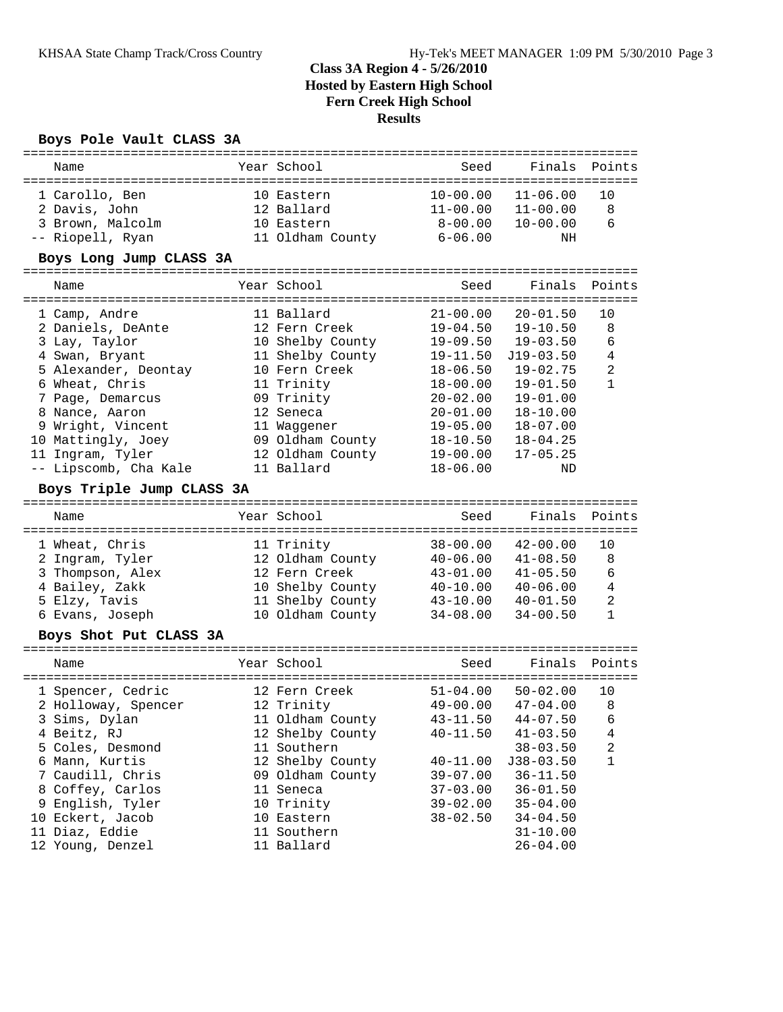#### **Boys Pole Vault CLASS 3A**

| ==============<br>Name                        |  | Year School                              | Seed                         | Finals                       | Points         |  |  |  |  |
|-----------------------------------------------|--|------------------------------------------|------------------------------|------------------------------|----------------|--|--|--|--|
| 1 Carollo, Ben<br>2 Davis, John               |  | 10 Eastern<br>12 Ballard                 | $10 - 00.00$<br>$11 - 00.00$ | $11 - 06.00$<br>$11 - 00.00$ | 10<br>8        |  |  |  |  |
| 3 Brown, Malcolm                              |  | 10 Eastern                               | $8 - 00.00$                  | $10 - 00.00$                 | 6              |  |  |  |  |
| -- Riopell, Ryan                              |  | 11 Oldham County                         | $6 - 06.00$                  | ΝH                           |                |  |  |  |  |
| Boys Long Jump CLASS 3A                       |  |                                          |                              |                              |                |  |  |  |  |
| Name<br>===================================== |  | Year School                              | Seed                         | Finals                       | Points         |  |  |  |  |
| 1 Camp, Andre                                 |  | 11 Ballard                               | $21 - 00.00$                 | $20 - 01.50$                 | 10             |  |  |  |  |
| 2 Daniels, DeAnte                             |  | 12 Fern Creek                            | $19 - 04.50$                 | $19 - 10.50$                 | 8              |  |  |  |  |
| 3 Lay, Taylor                                 |  | 10 Shelby County                         | $19 - 09.50$                 | $19 - 03.50$                 | 6              |  |  |  |  |
| 4 Swan, Bryant                                |  | 11 Shelby County                         | $19 - 11.50$                 | $J19-03.50$                  | 4              |  |  |  |  |
| 5 Alexander, Deontay                          |  | 10 Fern Creek                            | $18 - 06.50$                 | $19 - 02.75$                 | 2              |  |  |  |  |
| 6 Wheat, Chris                                |  | 11 Trinity                               | $18 - 00.00$                 | $19 - 01.50$                 | 1              |  |  |  |  |
| 7 Page, Demarcus                              |  | 09 Trinity                               | $20 - 02.00$                 | $19 - 01.00$                 |                |  |  |  |  |
| 8 Nance, Aaron                                |  | 12 Seneca                                | $20 - 01.00$                 | $18 - 10.00$                 |                |  |  |  |  |
| 9 Wright, Vincent                             |  | 11 Waqqener                              | $19 - 05.00$                 | $18 - 07.00$                 |                |  |  |  |  |
| 10 Mattingly, Joey                            |  | 09 Oldham County                         | $18 - 10.50$                 | $18 - 04.25$                 |                |  |  |  |  |
| 11 Ingram, Tyler                              |  | 12 Oldham County                         | $19 - 00.00$                 | $17 - 05.25$                 |                |  |  |  |  |
| -- Lipscomb, Cha Kale                         |  | 11 Ballard                               | $18 - 06.00$                 | ND                           |                |  |  |  |  |
| Boys Triple Jump CLASS 3A                     |  |                                          |                              |                              |                |  |  |  |  |
| Name                                          |  | Year School                              | Seed                         | Finals                       | Points         |  |  |  |  |
|                                               |  |                                          |                              |                              |                |  |  |  |  |
| 1 Wheat, Chris                                |  | 11 Trinity                               | 38-00.00                     | $42 - 00.00$                 | 10             |  |  |  |  |
| 2 Ingram, Tyler                               |  | 12 Oldham County                         | $40 - 06.00$                 | $41 - 08.50$                 | 8              |  |  |  |  |
| 3 Thompson, Alex                              |  | 12 Fern Creek                            | $43 - 01.00$                 | $41 - 05.50$                 | 6              |  |  |  |  |
| 4 Bailey, Zakk                                |  | 10 Shelby County 40-10.00                |                              | $40 - 06.00$                 | 4              |  |  |  |  |
| 5 Elzy, Tavis                                 |  | 11 Shelby County 43-10.00                |                              | $40 - 01.50$                 | $\overline{c}$ |  |  |  |  |
| 6 Evans, Joseph                               |  | 10 Oldham County                         | $34 - 08.00$                 | $34 - 00.50$                 | 1              |  |  |  |  |
| Boys Shot Put CLASS 3A                        |  |                                          |                              |                              |                |  |  |  |  |
| Name                                          |  | Year School                              | Seed                         | Finals                       | Points         |  |  |  |  |
|                                               |  |                                          |                              |                              |                |  |  |  |  |
| 1 Spencer, Cedric                             |  | 12 Fern Creek                            | $51 - 04.00$                 | $50 - 02.00$                 | 10             |  |  |  |  |
| 2 Holloway, Spencer                           |  | 12 Trinity                               | $49 - 00.00$                 | $47 - 04.00$                 | 8              |  |  |  |  |
| 3 Sims, Dylan                                 |  | 11 Oldham County $43-11.50$ $44-07.50$ 6 |                              |                              |                |  |  |  |  |
| 4 Beitz, RJ                                   |  | 12 Shelby County                         | $40 - 11.50$                 | $41 - 03.50$                 | 4              |  |  |  |  |
| 5 Coles, Desmond                              |  | 11 Southern                              |                              | $38 - 03.50$                 | $\overline{c}$ |  |  |  |  |
| 6 Mann, Kurtis                                |  | 12 Shelby County                         | $40 - 11.00$                 | $J38 - 03.50$                | 1              |  |  |  |  |
| 7 Caudill, Chris                              |  | 09 Oldham County                         | $39 - 07.00$                 | $36 - 11.50$                 |                |  |  |  |  |
| 8 Coffey, Carlos                              |  | 11 Seneca                                | $37 - 03.00$                 | $36 - 01.50$                 |                |  |  |  |  |
| 9 English, Tyler                              |  | 10 Trinity                               | $39 - 02.00$                 | $35 - 04.00$                 |                |  |  |  |  |
| 10 Eckert, Jacob                              |  | 10 Eastern                               | $38 - 02.50$                 | $34 - 04.50$                 |                |  |  |  |  |
| 11 Diaz, Eddie                                |  | 11 Southern                              |                              | $31 - 10.00$                 |                |  |  |  |  |
| 12 Young, Denzel                              |  | 11 Ballard                               |                              | $26 - 04.00$                 |                |  |  |  |  |